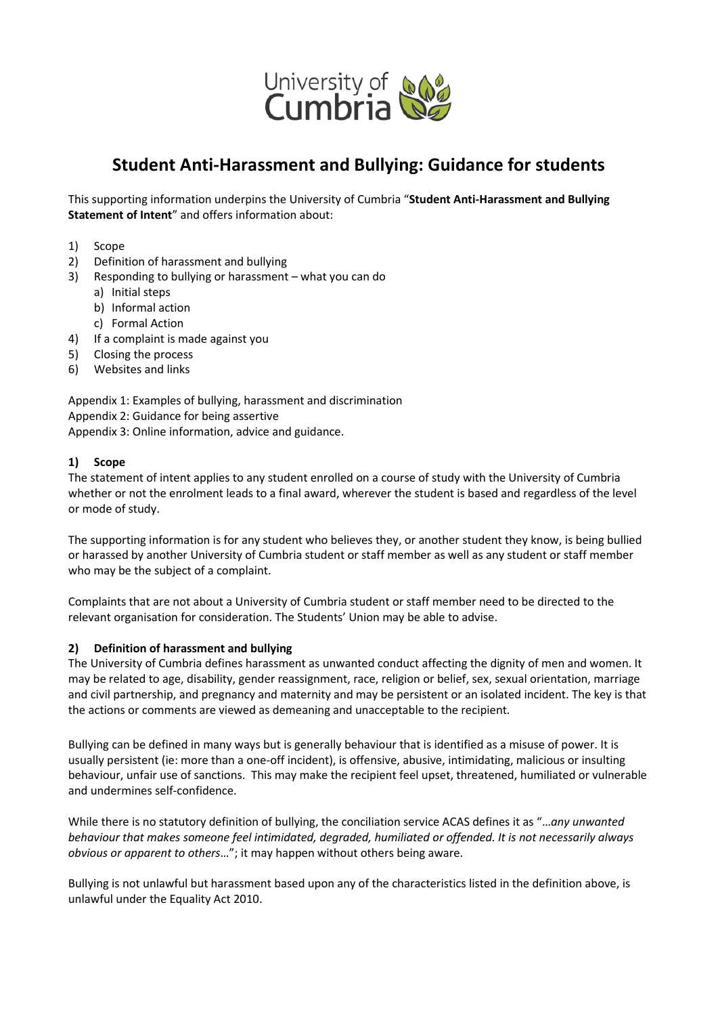

# **Student Anti-Harassment and Bullying: Guidance for students**

This supporting information underpins the University of Cumbria "**Student Anti-Harassment and Bullying Statement of Intent**" and offers information about:

- 1) Scope
- 2) Definition of harassment and bullying
- 3) Responding to bullying or harassment what you can do
	- a) Initial steps
	- b) Informal action
	- c) Formal Action
- 4) If a complaint is made against you
- 5) Closing the process
- 6) Websites and links

Appendix 1: Examples of bullying, harassment and discrimination Appendix 2: Guidance for being assertive Appendix 3: Online information, advice and guidance.

#### **1) Scope**

The statement of intent applies to any student enrolled on a course of study with the University of Cumbria whether or not the enrolment leads to a final award, wherever the student is based and regardless of the level or mode of study.

The supporting information is for any student who believes they, or another student they know, is being bullied or harassed by another University of Cumbria student or staff member as well as any student or staff member who may be the subject of a complaint.

Complaints that are not about a University of Cumbria student or staff member need to be directed to the relevant organisation for consideration. The Students' Union may be able to advise.

#### **2) Definition of harassment and bullying**

The University of Cumbria defines harassment as unwanted conduct affecting the dignity of men and women. It may be related to age, disability, gender reassignment, race, religion or belief, sex, sexual orientation, marriage and civil partnership, and pregnancy and maternity and may be persistent or an isolated incident. The key is that the actions or comments are viewed as demeaning and unacceptable to the recipient.

Bullying can be defined in many ways but is generally behaviour that is identified as a misuse of power. It is usually persistent (ie: more than a one-off incident), is offensive, abusive, intimidating, malicious or insulting behaviour, unfair use of sanctions. This may make the recipient feel upset, threatened, humiliated or vulnerable and undermines self-confidence.

While there is no statutory definition of bullying, the conciliation service ACAS defines it as "…*any unwanted behaviour that makes someone feel intimidated, degraded, humiliated or offended. It is not necessarily always obvious or apparent to others*…"; it may happen without others being aware.

Bullying is not unlawful but harassment based upon any of the characteristics listed in the definition above, is unlawful under the Equality Act 2010.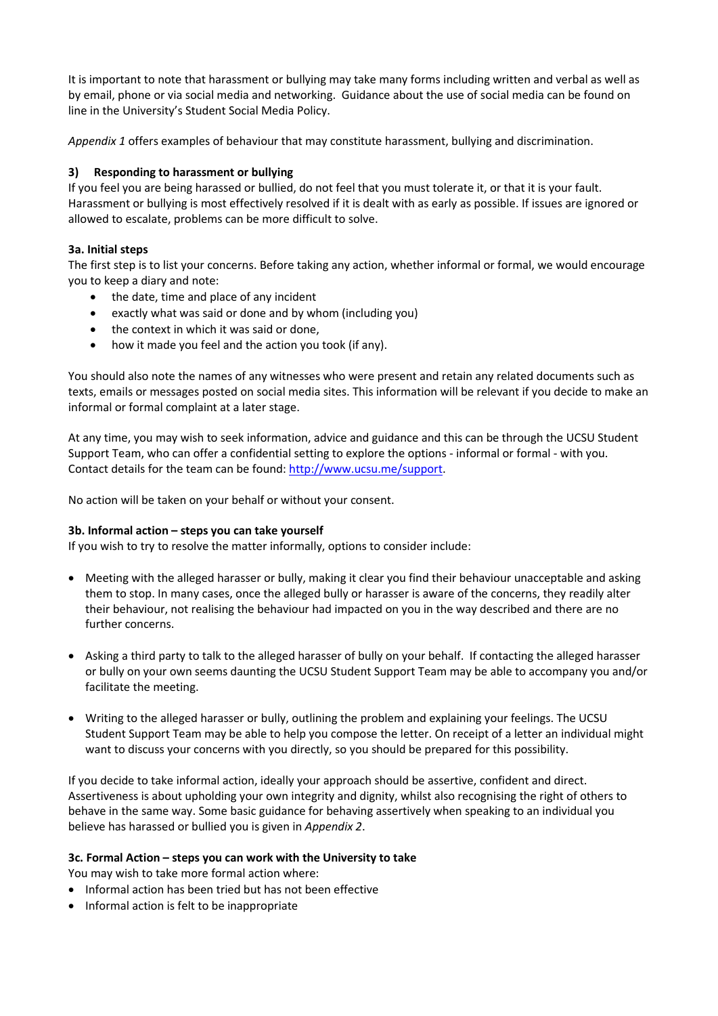It is important to note that harassment or bullying may take many forms including written and verbal as well as by email, phone or via social media and networking. Guidance about the use of social media can be found on line in the University's Student Social Media Policy.

*Appendix 1* offers examples of behaviour that may constitute harassment, bullying and discrimination.

# **3) Responding to harassment or bullying**

If you feel you are being harassed or bullied, do not feel that you must tolerate it, or that it is your fault. Harassment or bullying is most effectively resolved if it is dealt with as early as possible. If issues are ignored or allowed to escalate, problems can be more difficult to solve.

# **3a. Initial steps**

The first step is to list your concerns. Before taking any action, whether informal or formal, we would encourage you to keep a diary and note:

- the date, time and place of any incident
- exactly what was said or done and by whom (including you)
- the context in which it was said or done,
- how it made you feel and the action you took (if any).

You should also note the names of any witnesses who were present and retain any related documents such as texts, emails or messages posted on social media sites. This information will be relevant if you decide to make an informal or formal complaint at a later stage.

At any time, you may wish to seek information, advice and guidance and this can be through the UCSU Student Support Team, who can offer a confidential setting to explore the options - informal or formal - with you. Contact details for the team can be found[: http://www.ucsu.me/support.](http://www.ucsu.me/support)

No action will be taken on your behalf or without your consent.

# **3b. Informal action – steps you can take yourself**

If you wish to try to resolve the matter informally, options to consider include:

- Meeting with the alleged harasser or bully, making it clear you find their behaviour unacceptable and asking them to stop. In many cases, once the alleged bully or harasser is aware of the concerns, they readily alter their behaviour, not realising the behaviour had impacted on you in the way described and there are no further concerns.
- Asking a third party to talk to the alleged harasser of bully on your behalf. If contacting the alleged harasser or bully on your own seems daunting the UCSU Student Support Team may be able to accompany you and/or facilitate the meeting.
- Writing to the alleged harasser or bully, outlining the problem and explaining your feelings. The UCSU Student Support Team may be able to help you compose the letter. On receipt of a letter an individual might want to discuss your concerns with you directly, so you should be prepared for this possibility.

If you decide to take informal action, ideally your approach should be assertive, confident and direct. Assertiveness is about upholding your own integrity and dignity, whilst also recognising the right of others to behave in the same way. Some basic guidance for behaving assertively when speaking to an individual you believe has harassed or bullied you is given in *Appendix 2*.

# **3c. Formal Action – steps you can work with the University to take**

You may wish to take more formal action where:

- Informal action has been tried but has not been effective
- Informal action is felt to be inappropriate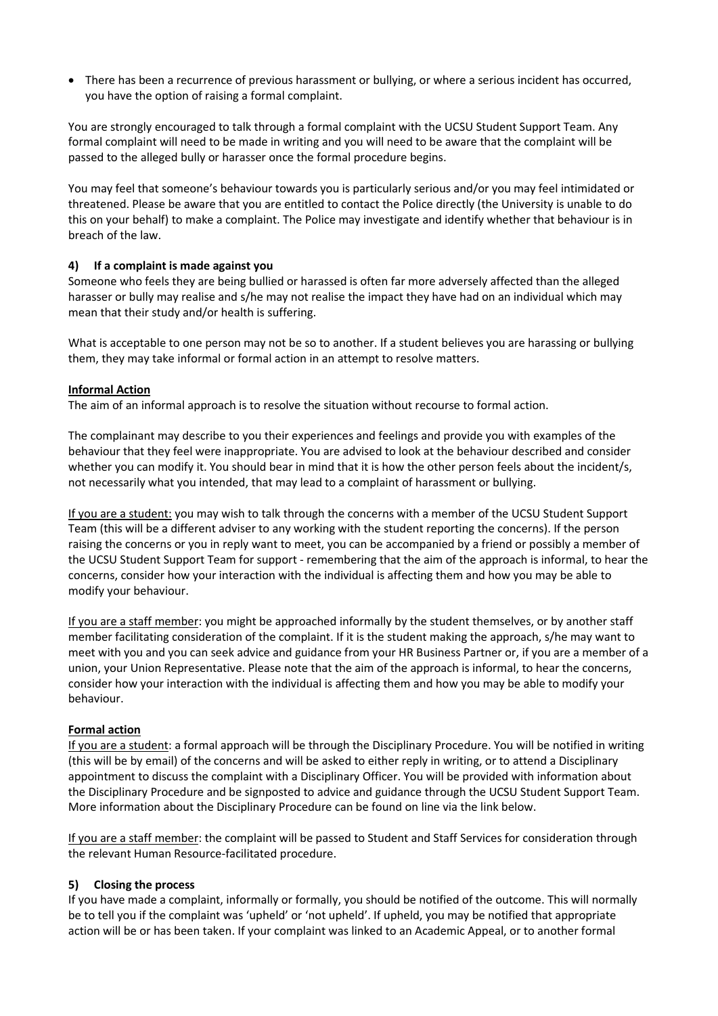• There has been a recurrence of previous harassment or bullying, or where a serious incident has occurred, you have the option of raising a formal complaint.

You are strongly encouraged to talk through a formal complaint with the UCSU Student Support Team. Any formal complaint will need to be made in writing and you will need to be aware that the complaint will be passed to the alleged bully or harasser once the formal procedure begins.

You may feel that someone's behaviour towards you is particularly serious and/or you may feel intimidated or threatened. Please be aware that you are entitled to contact the Police directly (the University is unable to do this on your behalf) to make a complaint. The Police may investigate and identify whether that behaviour is in breach of the law.

# **4) If a complaint is made against you**

Someone who feels they are being bullied or harassed is often far more adversely affected than the alleged harasser or bully may realise and s/he may not realise the impact they have had on an individual which may mean that their study and/or health is suffering.

What is acceptable to one person may not be so to another. If a student believes you are harassing or bullying them, they may take informal or formal action in an attempt to resolve matters.

#### **Informal Action**

The aim of an informal approach is to resolve the situation without recourse to formal action.

The complainant may describe to you their experiences and feelings and provide you with examples of the behaviour that they feel were inappropriate. You are advised to look at the behaviour described and consider whether you can modify it. You should bear in mind that it is how the other person feels about the incident/s, not necessarily what you intended, that may lead to a complaint of harassment or bullying.

If you are a student: you may wish to talk through the concerns with a member of the UCSU Student Support Team (this will be a different adviser to any working with the student reporting the concerns). If the person raising the concerns or you in reply want to meet, you can be accompanied by a friend or possibly a member of the UCSU Student Support Team for support - remembering that the aim of the approach is informal, to hear the concerns, consider how your interaction with the individual is affecting them and how you may be able to modify your behaviour.

If you are a staff member: you might be approached informally by the student themselves, or by another staff member facilitating consideration of the complaint. If it is the student making the approach, s/he may want to meet with you and you can seek advice and guidance from your HR Business Partner or, if you are a member of a union, your Union Representative. Please note that the aim of the approach is informal, to hear the concerns, consider how your interaction with the individual is affecting them and how you may be able to modify your behaviour.

#### **Formal action**

If you are a student: a formal approach will be through the Disciplinary Procedure. You will be notified in writing (this will be by email) of the concerns and will be asked to either reply in writing, or to attend a Disciplinary appointment to discuss the complaint with a Disciplinary Officer. You will be provided with information about the Disciplinary Procedure and be signposted to advice and guidance through the UCSU Student Support Team. More information about the Disciplinary Procedure can be found on line via the link below.

If you are a staff member: the complaint will be passed to Student and Staff Services for consideration through the relevant Human Resource-facilitated procedure.

#### **5) Closing the process**

If you have made a complaint, informally or formally, you should be notified of the outcome. This will normally be to tell you if the complaint was 'upheld' or 'not upheld'. If upheld, you may be notified that appropriate action will be or has been taken. If your complaint was linked to an Academic Appeal, or to another formal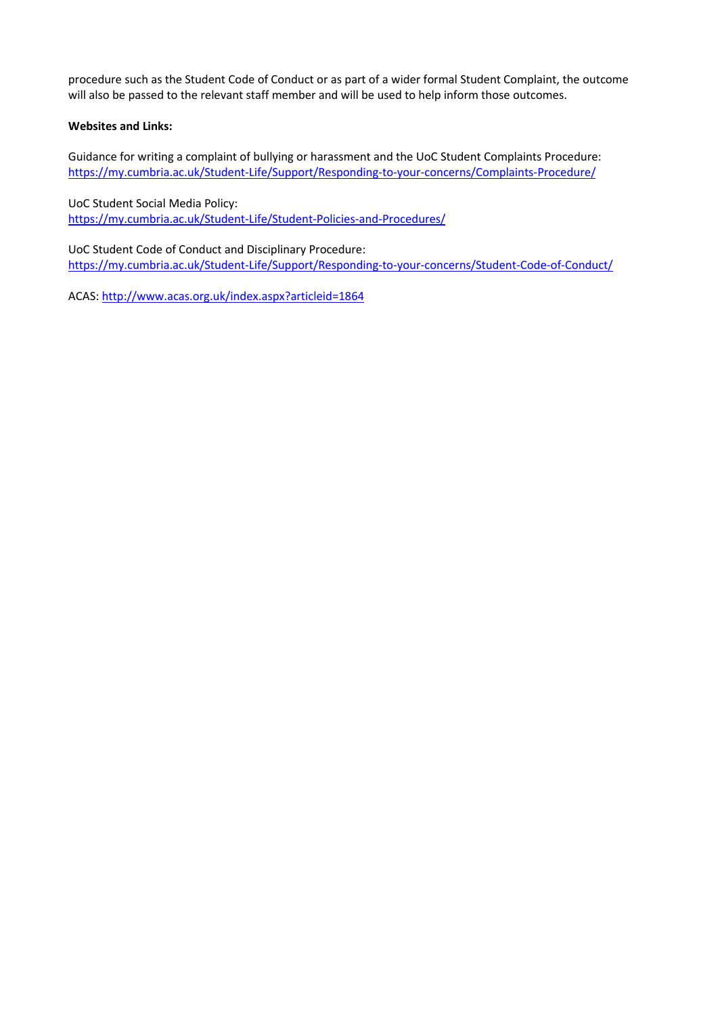procedure such as the Student Code of Conduct or as part of a wider formal Student Complaint, the outcome will also be passed to the relevant staff member and will be used to help inform those outcomes.

# **Websites and Links:**

Guidance for writing a complaint of bullying or harassment and the UoC Student Complaints Procedure: <https://my.cumbria.ac.uk/Student-Life/Support/Responding-to-your-concerns/Complaints-Procedure/>

#### UoC Student Social Media Policy:

<https://my.cumbria.ac.uk/Student-Life/Student-Policies-and-Procedures/>

UoC Student Code of Conduct and Disciplinary Procedure: <https://my.cumbria.ac.uk/Student-Life/Support/Responding-to-your-concerns/Student-Code-of-Conduct/>

ACAS[: http://www.acas.org.uk/index.aspx?articleid=1864](http://www.acas.org.uk/index.aspx?articleid=1864)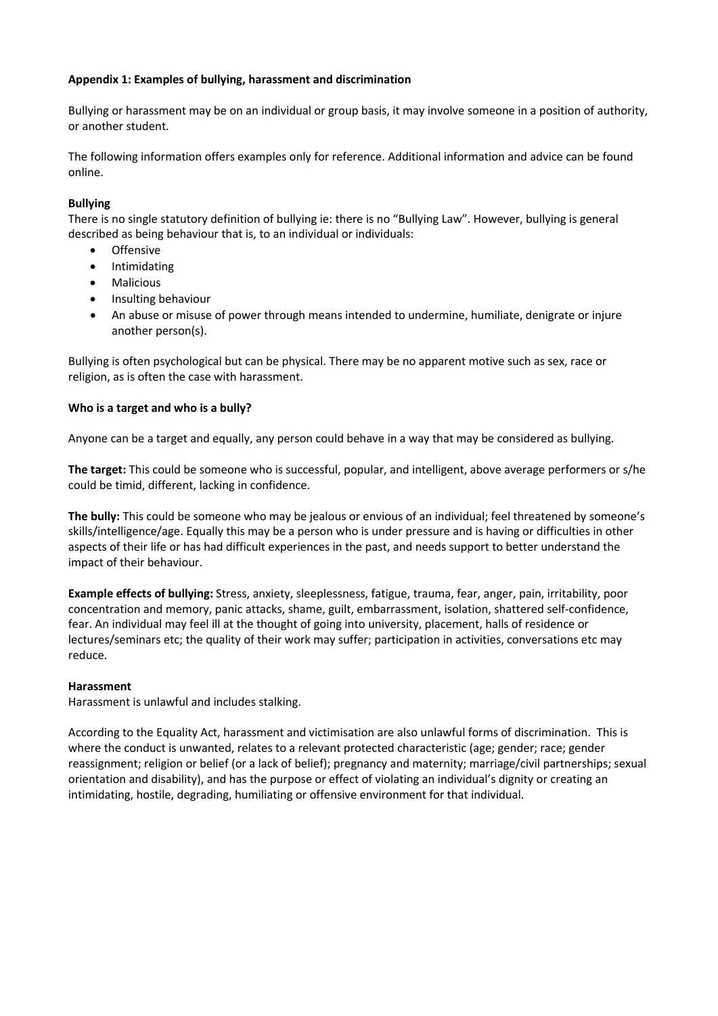# **Appendix 1: Examples of bullying, harassment and discrimination**

Bullying or harassment may be on an individual or group basis, it may involve someone in a position of authority, or another student.

The following information offers examples only for reference. Additional information and advice can be found online.

# **Bullying**

There is no single statutory definition of bullying ie: there is no "Bullying Law". However, bullying is general described as being behaviour that is, to an individual or individuals:

- **Offensive**
- Intimidating
- Malicious
- Insulting behaviour
- An abuse or misuse of power through means intended to undermine, humiliate, denigrate or injure another person(s).

Bullying is often psychological but can be physical. There may be no apparent motive such as sex, race or religion, as is often the case with harassment.

# **Who is a target and who is a bully?**

Anyone can be a target and equally, any person could behave in a way that may be considered as bullying.

**The target:** This could be someone who is successful, popular, and intelligent, above average performers or s/he could be timid, different, lacking in confidence.

**The bully:** This could be someone who may be jealous or envious of an individual; feel threatened by someone's skills/intelligence/age. Equally this may be a person who is under pressure and is having or difficulties in other aspects of their life or has had difficult experiences in the past, and needs support to better understand the impact of their behaviour.

**Example effects of bullying:** Stress, anxiety, sleeplessness, fatigue, trauma, fear, anger, pain, irritability, poor concentration and memory, panic attacks, shame, guilt, embarrassment, isolation, shattered self-confidence, fear. An individual may feel ill at the thought of going into university, placement, halls of residence or lectures/seminars etc; the quality of their work may suffer; participation in activities, conversations etc may reduce.

# **Harassment**

Harassment is unlawful and includes stalking.

According to the Equality Act, harassment and victimisation are also unlawful forms of discrimination. This is where the conduct is unwanted, relates to a relevant protected characteristic (age; gender; race; gender reassignment; religion or belief (or a lack of belief); pregnancy and maternity; marriage/civil partnerships; sexual orientation and disability), and has the purpose or effect of violating an individual's dignity or creating an intimidating, hostile, degrading, humiliating or offensive environment for that individual.